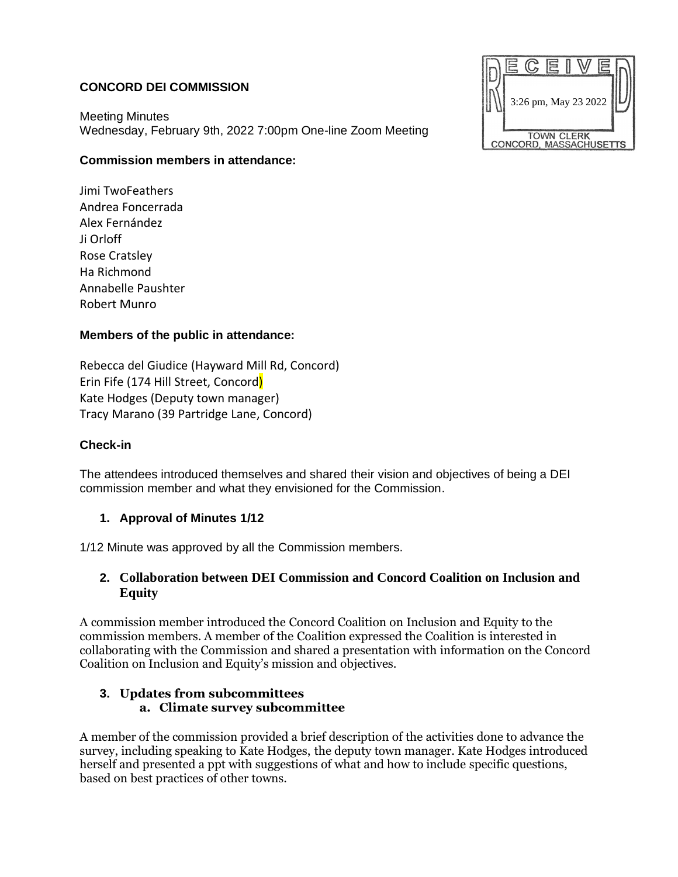# **CONCORD DEI COMMISSION**

Meeting Minutes Wednesday, February 9th, 2022 7:00pm One-line Zoom Meeting

### **Commission members in attendance:**

Jimi TwoFeathers Andrea Foncerrada Alex Fernández Ji Orloff Rose Cratsley Ha Richmond Annabelle Paushter Robert Munro

### **Members of the public in attendance:**

Rebecca del Giudice (Hayward Mill Rd, Concord) Erin Fife (174 Hill Street, Concord) Kate Hodges (Deputy town manager) Tracy Marano (39 Partridge Lane, Concord)

### **Check-in**

The attendees introduced themselves and shared their vision and objectives of being a DEI commission member and what they envisioned for the Commission.

### **1. Approval of Minutes 1/12**

1/12 Minute was approved by all the Commission members.

## **2. Collaboration between DEI Commission and Concord Coalition on Inclusion and Equity**

A commission member introduced the Concord Coalition on Inclusion and Equity to the commission members. A member of the Coalition expressed the Coalition is interested in collaborating with the Commission and shared a presentation with information on the Concord Coalition on Inclusion and Equity's mission and objectives.

#### **3. Updates from subcommittees a. Climate survey subcommittee**

A member of the commission provided a brief description of the activities done to advance the survey, including speaking to Kate Hodges, the deputy town manager. Kate Hodges introduced herself and presented a ppt with suggestions of what and how to include specific questions, based on best practices of other towns.